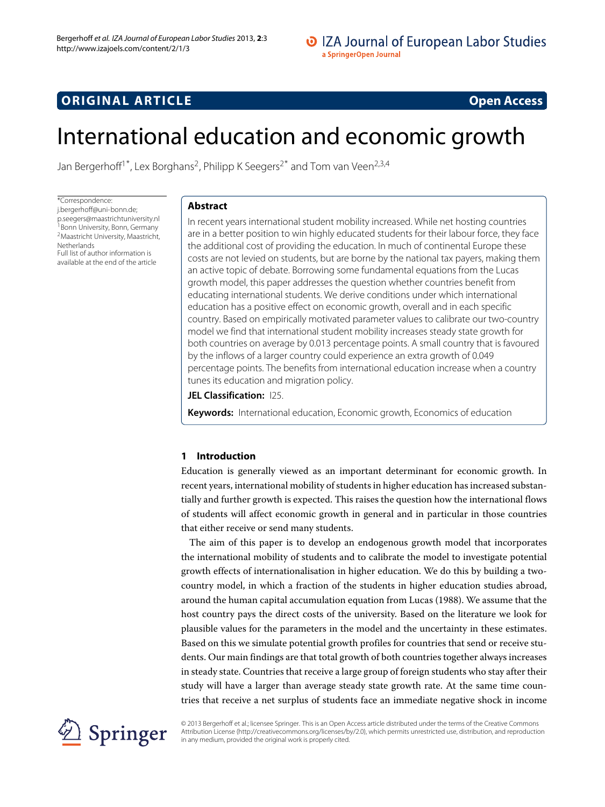## **ORIGINAL ARTICLE Open Access**

# International education and economic growth

Jan Bergerhoff<sup>1\*</sup>, Lex Borghans<sup>2</sup>, Philipp K Seegers<sup>2\*</sup> and Tom van Veen<sup>2,3,4</sup>

\*Correspondence:

## **Abstract**

j.bergerhoff@uni-bonn.de; p.seegers@maastrichtuniversity.nl <sup>1</sup> Bonn University, Bonn, Germany 2Maastricht University, Maastricht, **Netherlands** Full list of author information is available at the end of the article

In recent years international student mobility increased. While net hosting countries are in a better position to win highly educated students for their labour force, they face the additional cost of providing the education. In much of continental Europe these costs are not levied on students, but are borne by the national tax payers, making them an active topic of debate. Borrowing some fundamental equations from the Lucas growth model, this paper addresses the question whether countries benefit from educating international students. We derive conditions under which international education has a positive effect on economic growth, overall and in each specific country. Based on empirically motivated parameter values to calibrate our two-country model we find that international student mobility increases steady state growth for both countries on average by 0.013 percentage points. A small country that is favoured by the inflows of a larger country could experience an extra growth of 0.049 percentage points. The benefits from international education increase when a country tunes its education and migration policy.

**JEL Classification:** I25.

**Keywords:** International education, Economic growth, Economics of education

## **1 Introduction**

Education is generally viewed as an important determinant for economic growth. In recent years, international mobility of students in higher education has increased substantially and further growth is expected. This raises the question how the international flows of students will affect economic growth in general and in particular in those countries that either receive or send many students.

The aim of this paper is to develop an endogenous growth model that incorporates the international mobility of students and to calibrate the model to investigate potential growth effects of internationalisation in higher education. We do this by building a twocountry model, in which a fraction of the students in higher education studies abroad, around the human capital accumulation equation from Lucas [\(1988\)](#page-12-0). We assume that the host country pays the direct costs of the university. Based on the literature we look for plausible values for the parameters in the model and the uncertainty in these estimates. Based on this we simulate potential growth profiles for countries that send or receive students. Our main findings are that total growth of both countries together always increases in steady state. Countries that receive a large group of foreign students who stay after their study will have a larger than average steady state growth rate. At the same time countries that receive a net surplus of students face an immediate negative shock in income



© 2013 Bergerhoff et al.; licensee Springer. This is an Open Access article distributed under the terms of the Creative Commons Attribution License (http://creativecommons.org/licenses/by/2.0), which permits unrestricted use, distribution, and reproduction in any medium, provided the original work is properly cited.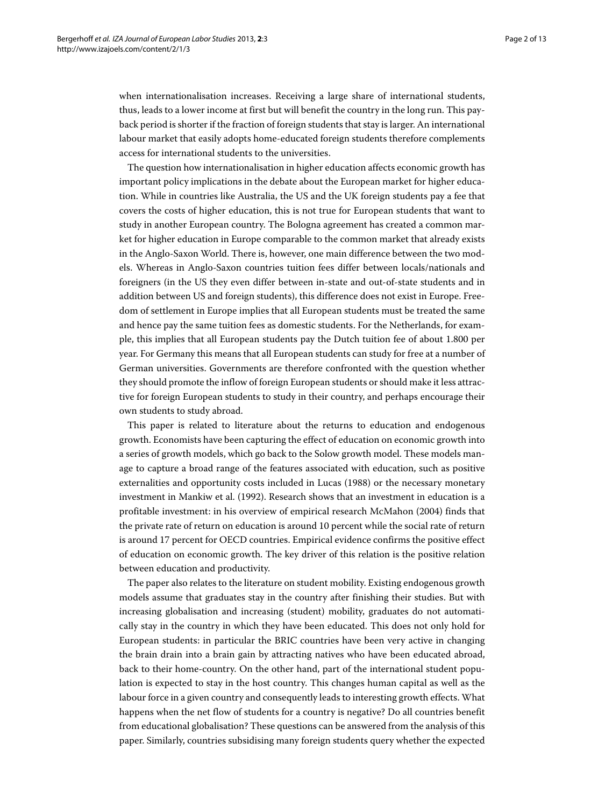when internationalisation increases. Receiving a large share of international students, thus, leads to a lower income at first but will benefit the country in the long run. This payback period is shorter if the fraction of foreign students that stay is larger. An international labour market that easily adopts home-educated foreign students therefore complements access for international students to the universities.

The question how internationalisation in higher education affects economic growth has important policy implications in the debate about the European market for higher education. While in countries like Australia, the US and the UK foreign students pay a fee that covers the costs of higher education, this is not true for European students that want to study in another European country. The Bologna agreement has created a common market for higher education in Europe comparable to the common market that already exists in the Anglo-Saxon World. There is, however, one main difference between the two models. Whereas in Anglo-Saxon countries tuition fees differ between locals/nationals and foreigners (in the US they even differ between in-state and out-of-state students and in addition between US and foreign students), this difference does not exist in Europe. Freedom of settlement in Europe implies that all European students must be treated the same and hence pay the same tuition fees as domestic students. For the Netherlands, for example, this implies that all European students pay the Dutch tuition fee of about 1.800 per year. For Germany this means that all European students can study for free at a number of German universities. Governments are therefore confronted with the question whether they should promote the inflow of foreign European students or should make it less attractive for foreign European students to study in their country, and perhaps encourage their own students to study abroad.

This paper is related to literature about the returns to education and endogenous growth. Economists have been capturing the effect of education on economic growth into a series of growth models, which go back to the Solow growth model. These models manage to capture a broad range of the features associated with education, such as positive externalities and opportunity costs included in Lucas [\(1988\)](#page-12-0) or the necessary monetary investment in Mankiw et al. [\(1992\)](#page-12-1). Research shows that an investment in education is a profitable investment: in his overview of empirical research McMahon [\(2004\)](#page-12-2) finds that the private rate of return on education is around 10 percent while the social rate of return is around 17 percent for OECD countries. Empirical evidence confirms the positive effect of education on economic growth. The key driver of this relation is the positive relation between education and productivity.

The paper also relates to the literature on student mobility. Existing endogenous growth models assume that graduates stay in the country after finishing their studies. But with increasing globalisation and increasing (student) mobility, graduates do not automatically stay in the country in which they have been educated. This does not only hold for European students: in particular the BRIC countries have been very active in changing the brain drain into a brain gain by attracting natives who have been educated abroad, back to their home-country. On the other hand, part of the international student population is expected to stay in the host country. This changes human capital as well as the labour force in a given country and consequently leads to interesting growth effects. What happens when the net flow of students for a country is negative? Do all countries benefit from educational globalisation? These questions can be answered from the analysis of this paper. Similarly, countries subsidising many foreign students query whether the expected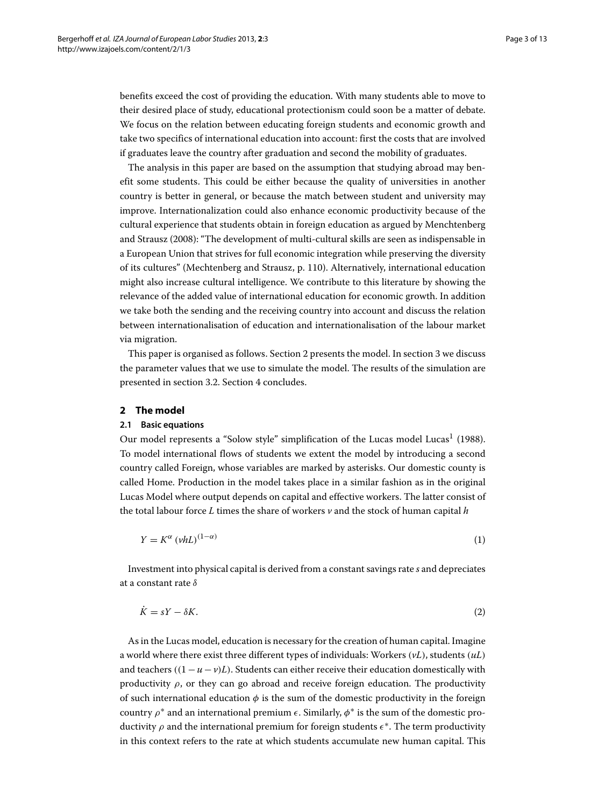benefits exceed the cost of providing the education. With many students able to move to their desired place of study, educational protectionism could soon be a matter of debate. We focus on the relation between educating foreign students and economic growth and take two specifics of international education into account: first the costs that are involved if graduates leave the country after graduation and second the mobility of graduates.

The analysis in this paper are based on the assumption that studying abroad may benefit some students. This could be either because the quality of universities in another country is better in general, or because the match between student and university may improve. Internationalization could also enhance economic productivity because of the cultural experience that students obtain in foreign education as argued by Menchtenberg and Strausz [\(2008\)](#page-12-3): "The development of multi-cultural skills are seen as indispensable in a European Union that strives for full economic integration while preserving the diversity of its cultures" (Mechtenberg and Strausz, p. 110). Alternatively, international education might also increase cultural intelligence. We contribute to this literature by showing the relevance of the added value of international education for economic growth. In addition we take both the sending and the receiving country into account and discuss the relation between internationalisation of education and internationalisation of the labour market via migration.

This paper is organised as follows. Section [2](#page-2-0) presents the model. In section [3](#page-7-0) we discuss the parameter values that we use to simulate the model. The results of the simulation are presented in section [3.2.](#page-8-0) Section [4](#page-11-0) concludes.

### <span id="page-2-0"></span>**2 The model**

#### **2.1 Basic equations**

Our model represents a "Solow style" simplification of the Lucas model Lucas<sup>1</sup> [\(1988\)](#page-12-0). To model international flows of students we extent the model by introducing a second country called Foreign, whose variables are marked by asterisks. Our domestic county is called Home. Production in the model takes place in a similar fashion as in the original Lucas Model where output depends on capital and effective workers. The latter consist of the total labour force *L* times the share of workers *v* and the stock of human capital *h*

$$
Y = K^{\alpha} (\nu h L)^{(1 - \alpha)} \tag{1}
$$

Investment into physical capital is derived from a constant savings rate *s* and depreciates at a constant rate *δ*

$$
\dot{K} = sY - \delta K. \tag{2}
$$

As in the Lucas model, education is necessary for the creation of human capital. Imagine a world where there exist three different types of individuals: Workers *(vL)*, students *(uL)* and teachers  $((1 – u – v)L)$ . Students can either receive their education domestically with productivity  $\rho$ , or they can go abroad and receive foreign education. The productivity of such international education  $\phi$  is the sum of the domestic productivity in the foreign country  $\rho^*$  and an international premium  $\epsilon$ . Similarly,  $\phi^*$  is the sum of the domestic productivity  $\rho$  and the international premium for foreign students  $\epsilon^*$ . The term productivity in this context refers to the rate at which students accumulate new human capital. This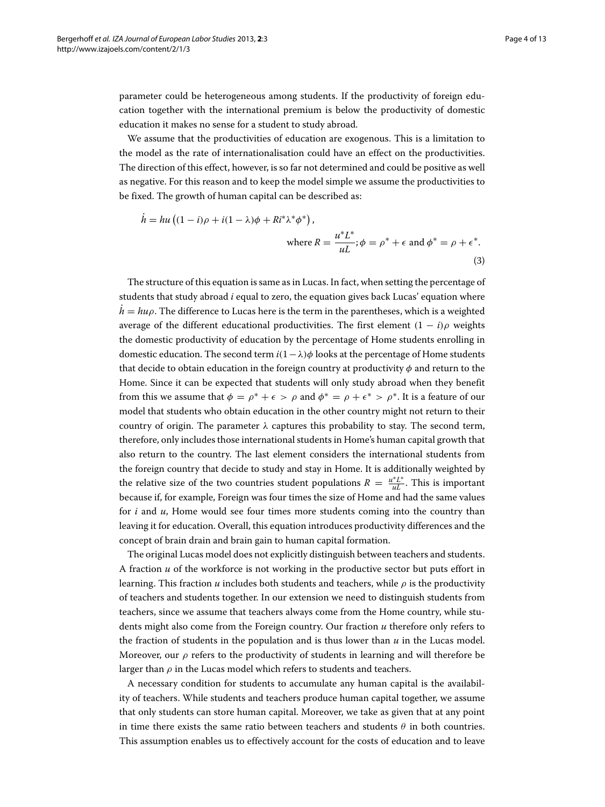parameter could be heterogeneous among students. If the productivity of foreign education together with the international premium is below the productivity of domestic education it makes no sense for a student to study abroad.

We assume that the productivities of education are exogenous. This is a limitation to the model as the rate of internationalisation could have an effect on the productivities. The direction of this effect, however, is so far not determined and could be positive as well as negative. For this reason and to keep the model simple we assume the productivities to be fixed. The growth of human capital can be described as:

$$
\dot{h} = hu \left( (1 - i)\rho + i(1 - \lambda)\phi + Ri^* \lambda^* \phi^* \right),
$$
  
where  $R = \frac{u^* L^*}{uL}; \phi = \rho^* + \epsilon$  and  $\phi^* = \rho + \epsilon^*$ . (3)

The structure of this equation is same as in Lucas. In fact, when setting the percentage of students that study abroad *i* equal to zero, the equation gives back Lucas' equation where  $h = hu\rho$ . The difference to Lucas here is the term in the parentheses, which is a weighted average of the different educational productivities. The first element *(*1 − *i)ρ* weights the domestic productivity of education by the percentage of Home students enrolling in domestic education. The second term  $i(1-\lambda)\phi$  looks at the percentage of Home students that decide to obtain education in the foreign country at productivity *φ* and return to the Home. Since it can be expected that students will only study abroad when they benefit from this we assume that  $\phi = \rho^* + \epsilon > \rho$  and  $\phi^* = \rho + \epsilon^* > \rho^*$ . It is a feature of our model that students who obtain education in the other country might not return to their country of origin. The parameter  $\lambda$  captures this probability to stay. The second term, therefore, only includes those international students in Home's human capital growth that also return to the country. The last element considers the international students from the foreign country that decide to study and stay in Home. It is additionally weighted by the relative size of the two countries student populations  $R = \frac{u^* L^*}{u L}$ . This is important because if, for example, Foreign was four times the size of Home and had the same values for *i* and *u*, Home would see four times more students coming into the country than leaving it for education. Overall, this equation introduces productivity differences and the concept of brain drain and brain gain to human capital formation.

The original Lucas model does not explicitly distinguish between teachers and students. A fraction *u* of the workforce is not working in the productive sector but puts effort in learning. This fraction  $u$  includes both students and teachers, while  $\rho$  is the productivity of teachers and students together. In our extension we need to distinguish students from teachers, since we assume that teachers always come from the Home country, while students might also come from the Foreign country. Our fraction *u* therefore only refers to the fraction of students in the population and is thus lower than  $u$  in the Lucas model. Moreover, our *ρ* refers to the productivity of students in learning and will therefore be larger than  $\rho$  in the Lucas model which refers to students and teachers.

A necessary condition for students to accumulate any human capital is the availability of teachers. While students and teachers produce human capital together, we assume that only students can store human capital. Moreover, we take as given that at any point in time there exists the same ratio between teachers and students  $\theta$  in both countries. This assumption enables us to effectively account for the costs of education and to leave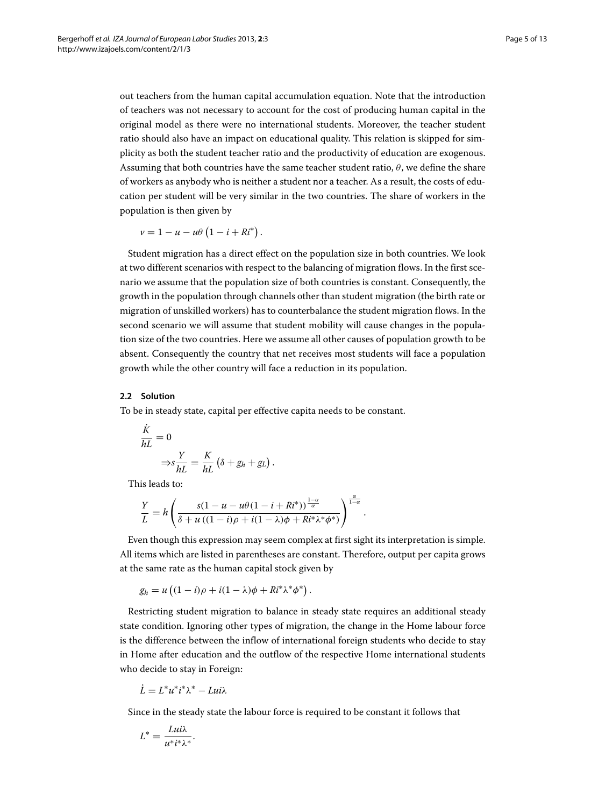out teachers from the human capital accumulation equation. Note that the introduction of teachers was not necessary to account for the cost of producing human capital in the original model as there were no international students. Moreover, the teacher student ratio should also have an impact on educational quality. This relation is skipped for simplicity as both the student teacher ratio and the productivity of education are exogenous. Assuming that both countries have the same teacher student ratio, *θ*, we define the share of workers as anybody who is neither a student nor a teacher. As a result, the costs of education per student will be very similar in the two countries. The share of workers in the population is then given by

$$
v=1-u-u\theta\left(1-i+Ri^*\right).
$$

Student migration has a direct effect on the population size in both countries. We look at two different scenarios with respect to the balancing of migration flows. In the first scenario we assume that the population size of both countries is constant. Consequently, the growth in the population through channels other than student migration (the birth rate or migration of unskilled workers) has to counterbalance the student migration flows. In the second scenario we will assume that student mobility will cause changes in the population size of the two countries. Here we assume all other causes of population growth to be absent. Consequently the country that net receives most students will face a population growth while the other country will face a reduction in its population.

### **2.2 Solution**

To be in steady state, capital per effective capita needs to be constant.

$$
\frac{\dot{K}}{hL} = 0
$$
\n
$$
\Rightarrow s\frac{Y}{hL} = \frac{K}{hL} \left(\delta + g_h + g_L\right).
$$

This leads to:

$$
\frac{Y}{L} = h \left( \frac{s(1 - u - u\theta(1 - i + Ri^*))^{\frac{1 - \alpha}{\alpha}}}{\delta + u((1 - i)\rho + i(1 - \lambda)\phi + Ri^* \lambda^* \phi^*)} \right)^{\frac{\alpha}{1 - \alpha}}.
$$

Even though this expression may seem complex at first sight its interpretation is simple. All items which are listed in parentheses are constant. Therefore, output per capita grows at the same rate as the human capital stock given by

$$
g_h = u\left((1-i)\rho + i(1-\lambda)\phi + Ri^*\lambda^*\phi^*\right).
$$

Restricting student migration to balance in steady state requires an additional steady state condition. Ignoring other types of migration, the change in the Home labour force is the difference between the inflow of international foreign students who decide to stay in Home after education and the outflow of the respective Home international students who decide to stay in Foreign:

$$
\dot{L} = L^* u^* i^* \lambda^* - L u i \lambda
$$

Since in the steady state the labour force is required to be constant it follows that

$$
L^* = \frac{Lu\lambda}{u^*i^*\lambda^*}.
$$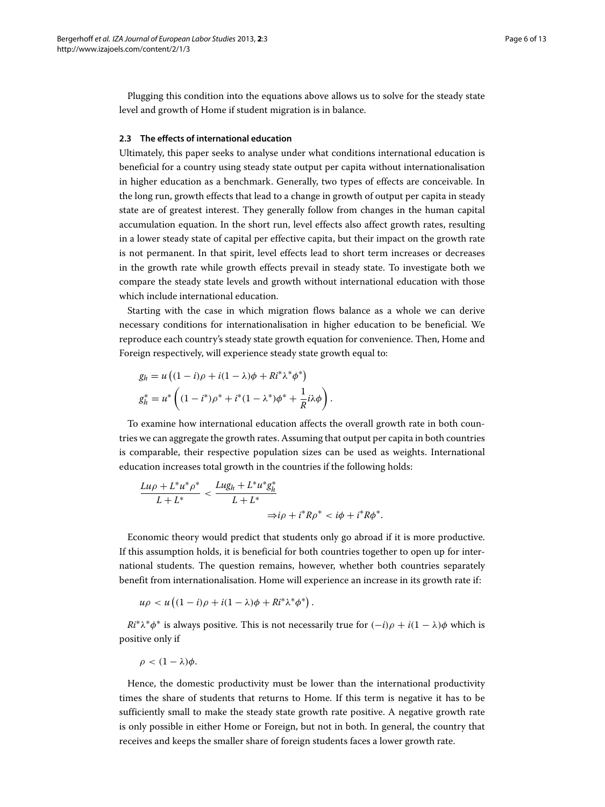Plugging this condition into the equations above allows us to solve for the steady state level and growth of Home if student migration is in balance.

## **2.3 The effects of international education**

Ultimately, this paper seeks to analyse under what conditions international education is beneficial for a country using steady state output per capita without internationalisation in higher education as a benchmark. Generally, two types of effects are conceivable. In the long run, growth effects that lead to a change in growth of output per capita in steady state are of greatest interest. They generally follow from changes in the human capital accumulation equation. In the short run, level effects also affect growth rates, resulting in a lower steady state of capital per effective capita, but their impact on the growth rate is not permanent. In that spirit, level effects lead to short term increases or decreases in the growth rate while growth effects prevail in steady state. To investigate both we compare the steady state levels and growth without international education with those which include international education.

Starting with the case in which migration flows balance as a whole we can derive necessary conditions for internationalisation in higher education to be beneficial. We reproduce each country's steady state growth equation for convenience. Then, Home and Foreign respectively, will experience steady state growth equal to:

$$
g_h = u \left( (1 - i)\rho + i(1 - \lambda)\phi + Ri^* \lambda^* \phi^* \right)
$$
  

$$
g_h^* = u^* \left( (1 - i^*)\rho^* + i^* (1 - \lambda^*) \phi^* + \frac{1}{R} i\lambda \phi \right).
$$

To examine how international education affects the overall growth rate in both countries we can aggregate the growth rates. Assuming that output per capita in both countries is comparable, their respective population sizes can be used as weights. International education increases total growth in the countries if the following holds:

$$
\frac{Lu\rho + L^*u^*\rho^*}{L+L^*} < \frac{Lug_h + L^*u^*g_h^*}{L+L^*} \\
\Rightarrow i\rho + i^*R\rho^* < i\phi + i^*R\phi^*.
$$

Economic theory would predict that students only go abroad if it is more productive. If this assumption holds, it is beneficial for both countries together to open up for international students. The question remains, however, whether both countries separately benefit from internationalisation. Home will experience an increase in its growth rate if:

$$
u\rho < u\left((1-i)\rho + i(1-\lambda)\phi + Ri^*\lambda^*\phi^*\right).
$$

 $Ri^*$  $\lambda^*$  $\phi^*$  is always positive. This is not necessarily true for  $(-i)\rho + i(1 - \lambda)\phi$  which is positive only if

$$
\rho < (1-\lambda)\phi.
$$

Hence, the domestic productivity must be lower than the international productivity times the share of students that returns to Home. If this term is negative it has to be sufficiently small to make the steady state growth rate positive. A negative growth rate is only possible in either Home or Foreign, but not in both. In general, the country that receives and keeps the smaller share of foreign students faces a lower growth rate.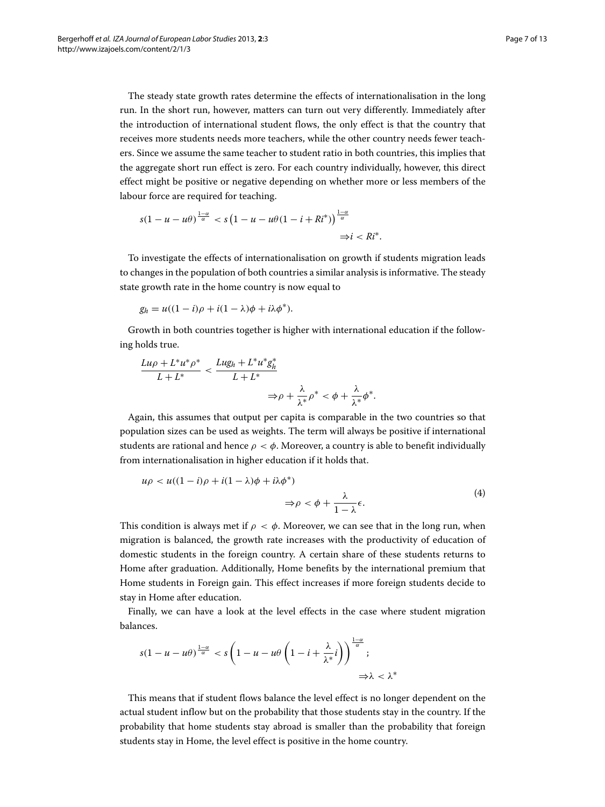The steady state growth rates determine the effects of internationalisation in the long run. In the short run, however, matters can turn out very differently. Immediately after the introduction of international student flows, the only effect is that the country that receives more students needs more teachers, while the other country needs fewer teachers. Since we assume the same teacher to student ratio in both countries, this implies that the aggregate short run effect is zero. For each country individually, however, this direct effect might be positive or negative depending on whether more or less members of the labour force are required for teaching.

$$
s(1-u-u\theta)^{\frac{1-\alpha}{\alpha}} < s\left(1-u-u\theta(1-i+Ri^*)\right)^{\frac{1-\alpha}{\alpha}} \Rightarrow i < Ri^*.
$$

To investigate the effects of internationalisation on growth if students migration leads to changes in the population of both countries a similar analysis is informative. The steady state growth rate in the home country is now equal to

$$
g_h = u((1 - i)\rho + i(1 - \lambda)\phi + i\lambda\phi^*).
$$

Growth in both countries together is higher with international education if the following holds true.

$$
\frac{Lu\rho + L^*u^*\rho^*}{L + L^*} < \frac{Lug_h + L^*u^*g_h^*}{L + L^*} \\
\Rightarrow \rho + \frac{\lambda}{\lambda^*}\rho^* < \phi + \frac{\lambda}{\lambda^*}\phi^*.
$$

Again, this assumes that output per capita is comparable in the two countries so that population sizes can be used as weights. The term will always be positive if international students are rational and hence  $\rho < \phi$ . Moreover, a country is able to benefit individually from internationalisation in higher education if it holds that.

$$
u\rho < u((1-i)\rho + i(1-\lambda)\phi + i\lambda\phi^*)
$$
\n
$$
\Rightarrow \rho < \phi + \frac{\lambda}{1-\lambda}\epsilon. \tag{4}
$$

This condition is always met if  $\rho < \phi$ . Moreover, we can see that in the long run, when migration is balanced, the growth rate increases with the productivity of education of domestic students in the foreign country. A certain share of these students returns to Home after graduation. Additionally, Home benefits by the international premium that Home students in Foreign gain. This effect increases if more foreign students decide to stay in Home after education.

Finally, we can have a look at the level effects in the case where student migration balances.

$$
s(1-u-u\theta)^{\frac{1-\alpha}{\alpha}} < s\left(1-u-u\theta\left(1-i+\frac{\lambda}{\lambda^*}i\right)\right)^{\frac{1-\alpha}{\alpha}}; \quad \text{and} \quad s\theta < \lambda^*
$$

This means that if student flows balance the level effect is no longer dependent on the actual student inflow but on the probability that those students stay in the country. If the probability that home students stay abroad is smaller than the probability that foreign students stay in Home, the level effect is positive in the home country.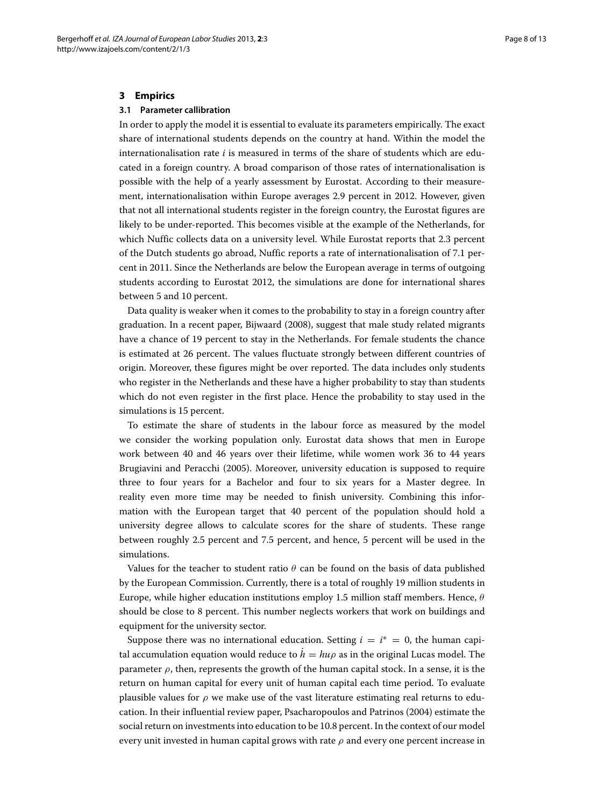#### <span id="page-7-0"></span>**3 Empirics**

#### **3.1 Parameter callibration**

In order to apply the model it is essential to evaluate its parameters empirically. The exact share of international students depends on the country at hand. Within the model the internationalisation rate  $i$  is measured in terms of the share of students which are educated in a foreign country. A broad comparison of those rates of internationalisation is possible with the help of a yearly assessment by Eurostat. According to their measurement, internationalisation within Europe averages 2.9 percent in 2012. However, given that not all international students register in the foreign country, the Eurostat figures are likely to be under-reported. This becomes visible at the example of the Netherlands, for which Nuffic collects data on a university level. While Eurostat reports that 2.3 percent of the Dutch students go abroad, Nuffic reports a rate of internationalisation of 7.1 percent in 2011. Since the Netherlands are below the European average in terms of outgoing students according to Eurostat 2012, the simulations are done for international shares between 5 and 10 percent.

Data quality is weaker when it comes to the probability to stay in a foreign country after graduation. In a recent paper, Bijwaard [\(2008\)](#page-12-4), suggest that male study related migrants have a chance of 19 percent to stay in the Netherlands. For female students the chance is estimated at 26 percent. The values fluctuate strongly between different countries of origin. Moreover, these figures might be over reported. The data includes only students who register in the Netherlands and these have a higher probability to stay than students which do not even register in the first place. Hence the probability to stay used in the simulations is 15 percent.

To estimate the share of students in the labour force as measured by the model we consider the working population only. Eurostat data shows that men in Europe work between 40 and 46 years over their lifetime, while women work 36 to 44 years Brugiavini and Peracchi [\(2005\)](#page-12-5). Moreover, university education is supposed to require three to four years for a Bachelor and four to six years for a Master degree. In reality even more time may be needed to finish university. Combining this information with the European target that 40 percent of the population should hold a university degree allows to calculate scores for the share of students. These range between roughly 2.5 percent and 7.5 percent, and hence, 5 percent will be used in the simulations.

Values for the teacher to student ratio  $\theta$  can be found on the basis of data published by the European Commission. Currently, there is a total of roughly 19 million students in Europe, while higher education institutions employ 1.5 million staff members. Hence, *θ* should be close to 8 percent. This number neglects workers that work on buildings and equipment for the university sector.

Suppose there was no international education. Setting  $i = i^* = 0$ , the human capital accumulation equation would reduce to  $\dot{h} = h\mu\rho$  as in the original Lucas model. The parameter  $\rho$ , then, represents the growth of the human capital stock. In a sense, it is the return on human capital for every unit of human capital each time period. To evaluate plausible values for *ρ* we make use of the vast literature estimating real returns to education. In their influential review paper, Psacharopoulos and Patrinos [\(2004\)](#page-12-6) estimate the social return on investments into education to be 10.8 percent. In the context of our model every unit invested in human capital grows with rate *ρ* and every one percent increase in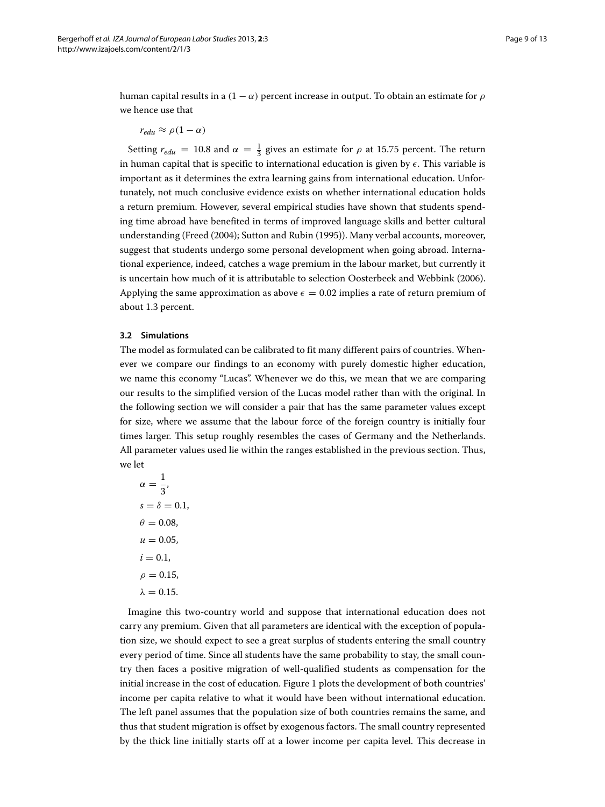human capital results in a  $(1 - \alpha)$  percent increase in output. To obtain an estimate for *ρ* we hence use that

 $r_{edu} \approx \rho(1-\alpha)$ 

Setting  $r_{edu} = 10.8$  and  $\alpha = \frac{1}{3}$  gives an estimate for  $\rho$  at 15.75 percent. The return in human capital that is specific to international education is given by  $\epsilon$ . This variable is important as it determines the extra learning gains from international education. Unfortunately, not much conclusive evidence exists on whether international education holds a return premium. However, several empirical studies have shown that students spending time abroad have benefited in terms of improved language skills and better cultural understanding (Freed [\(2004\)](#page-12-7); Sutton and Rubin [\(1995\)](#page-12-8)). Many verbal accounts, moreover, suggest that students undergo some personal development when going abroad. International experience, indeed, catches a wage premium in the labour market, but currently it is uncertain how much of it is attributable to selection Oosterbeek and Webbink [\(2006\)](#page-12-9). Applying the same approximation as above  $\epsilon = 0.02$  implies a rate of return premium of about 1.3 percent.

## <span id="page-8-0"></span>**3.2 Simulations**

The model as formulated can be calibrated to fit many different pairs of countries. Whenever we compare our findings to an economy with purely domestic higher education, we name this economy "Lucas". Whenever we do this, we mean that we are comparing our results to the simplified version of the Lucas model rather than with the original. In the following section we will consider a pair that has the same parameter values except for size, where we assume that the labour force of the foreign country is initially four times larger. This setup roughly resembles the cases of Germany and the Netherlands. All parameter values used lie within the ranges established in the previous section. Thus, we let

$$
\alpha = \frac{1}{3}, \ns = \delta = 0.1, \n\theta = 0.08, \nu = 0.05, \ni = 0.1, \n\rho = 0.15, \n\lambda = 0.15.
$$

Imagine this two-country world and suppose that international education does not carry any premium. Given that all parameters are identical with the exception of population size, we should expect to see a great surplus of students entering the small country every period of time. Since all students have the same probability to stay, the small country then faces a positive migration of well-qualified students as compensation for the initial increase in the cost of education. Figure [1](#page-9-0) plots the development of both countries' income per capita relative to what it would have been without international education. The left panel assumes that the population size of both countries remains the same, and thus that student migration is offset by exogenous factors. The small country represented by the thick line initially starts off at a lower income per capita level. This decrease in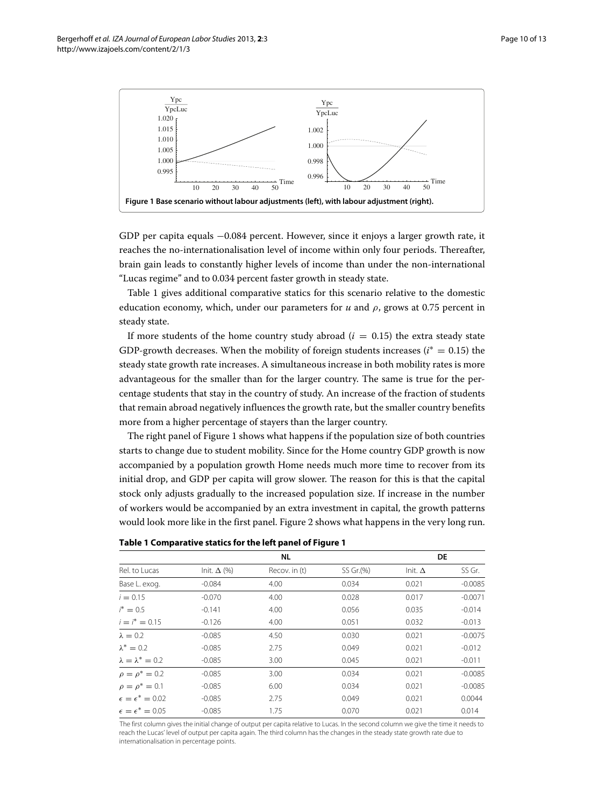

<span id="page-9-0"></span>GDP per capita equals −0.084 percent. However, since it enjoys a larger growth rate, it reaches the no-internationalisation level of income within only four periods. Thereafter, brain gain leads to constantly higher levels of income than under the non-international "Lucas regime" and to 0.034 percent faster growth in steady state.

Table [1](#page-9-1) gives additional comparative statics for this scenario relative to the domestic education economy, which, under our parameters for *u* and *ρ*, grows at 0.75 percent in steady state.

If more students of the home country study abroad  $(i = 0.15)$  the extra steady state GDP-growth decreases. When the mobility of foreign students increases ( $i^* = 0.15$ ) the steady state growth rate increases. A simultaneous increase in both mobility rates is more advantageous for the smaller than for the larger country. The same is true for the percentage students that stay in the country of study. An increase of the fraction of students that remain abroad negatively influences the growth rate, but the smaller country benefits more from a higher percentage of stayers than the larger country.

The right panel of Figure [1](#page-9-0) shows what happens if the population size of both countries starts to change due to student mobility. Since for the Home country GDP growth is now accompanied by a population growth Home needs much more time to recover from its initial drop, and GDP per capita will grow slower. The reason for this is that the capital stock only adjusts gradually to the increased population size. If increase in the number of workers would be accompanied by an extra investment in capital, the growth patterns would look more like in the first panel. Figure [2](#page-10-0) shows what happens in the very long run.

<span id="page-9-1"></span>

|                                | <b>NL</b>          |               |           | <b>DE</b>      |           |
|--------------------------------|--------------------|---------------|-----------|----------------|-----------|
| Rel. to Lucas                  | Init. $\Delta$ (%) | Recov. in (t) | SS Gr.(%) | Init. $\Delta$ | SS Gr.    |
| Base L. exog.                  | $-0.084$           | 4.00          | 0.034     | 0.021          | $-0.0085$ |
| $i = 0.15$                     | $-0.070$           | 4.00          | 0.028     | 0.017          | $-0.0071$ |
| $i^* = 0.5$                    | $-0.141$           | 4.00          | 0.056     | 0.035          | $-0.014$  |
| $i = i^* = 0.15$               | $-0.126$           | 4.00          | 0.051     | 0.032          | $-0.013$  |
| $\lambda = 0.2$                | -0.085             | 4.50          | 0.030     | 0.021          | $-0.0075$ |
| $\lambda^* = 0.2$              | $-0.085$           | 2.75          | 0.049     | 0.021          | $-0.012$  |
| $\lambda = \lambda^* = 0.2$    | $-0.085$           | 3.00          | 0.045     | 0.021          | $-0.011$  |
| $\rho = \rho^* = 0.2$          | $-0.085$           | 3.00          | 0.034     | 0.021          | $-0.0085$ |
| $\rho = \rho^* = 0.1$          | $-0.085$           | 6.00          | 0.034     | 0.021          | $-0.0085$ |
| $\epsilon = \epsilon^* = 0.02$ | $-0.085$           | 2.75          | 0.049     | 0.021          | 0.0044    |
| $\epsilon = \epsilon^* = 0.05$ | $-0.085$           | 1.75          | 0.070     | 0.021          | 0.014     |

|  | Table 1 Comparative statics for the left panel of Figure 1 |  |  |  |
|--|------------------------------------------------------------|--|--|--|
|--|------------------------------------------------------------|--|--|--|

The first column gives the initial change of output per capita relative to Lucas. In the second column we give the time it needs to reach the Lucas' level of output per capita again. The third column has the changes in the steady state growth rate due to internationalisation in percentage points.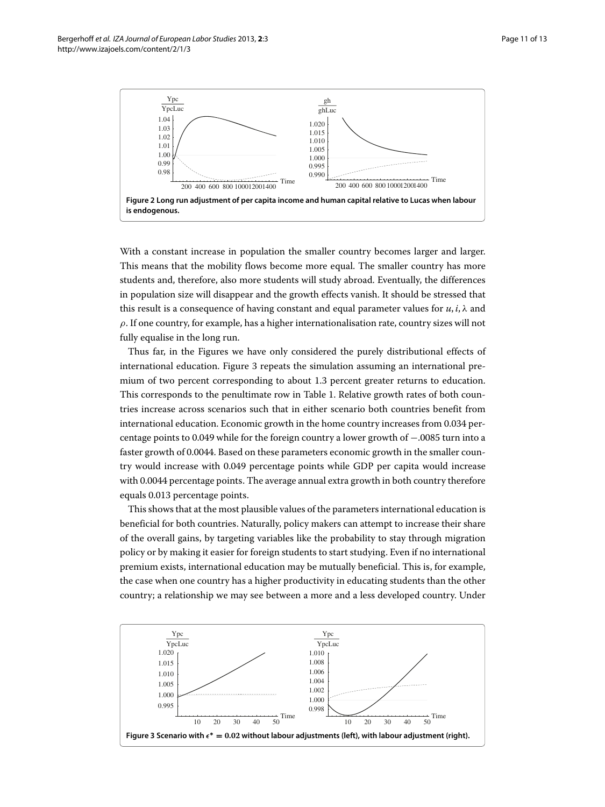

<span id="page-10-0"></span>With a constant increase in population the smaller country becomes larger and larger. This means that the mobility flows become more equal. The smaller country has more students and, therefore, also more students will study abroad. Eventually, the differences in population size will disappear and the growth effects vanish. It should be stressed that this result is a consequence of having constant and equal parameter values for  $u$ , *i*,  $\lambda$  and *ρ*. If one country, for example, has a higher internationalisation rate, country sizes will not fully equalise in the long run.

Thus far, in the Figures we have only considered the purely distributional effects of international education. Figure [3](#page-10-1) repeats the simulation assuming an international premium of two percent corresponding to about 1.3 percent greater returns to education. This corresponds to the penultimate row in Table [1.](#page-9-1) Relative growth rates of both countries increase across scenarios such that in either scenario both countries benefit from international education. Economic growth in the home country increases from 0.034 percentage points to 0.049 while for the foreign country a lower growth of −.0085 turn into a faster growth of 0.0044. Based on these parameters economic growth in the smaller country would increase with 0.049 percentage points while GDP per capita would increase with 0.0044 percentage points. The average annual extra growth in both country therefore equals 0.013 percentage points.

This shows that at the most plausible values of the parameters international education is beneficial for both countries. Naturally, policy makers can attempt to increase their share of the overall gains, by targeting variables like the probability to stay through migration policy or by making it easier for foreign students to start studying. Even if no international premium exists, international education may be mutually beneficial. This is, for example, the case when one country has a higher productivity in educating students than the other country; a relationship we may see between a more and a less developed country. Under

<span id="page-10-1"></span>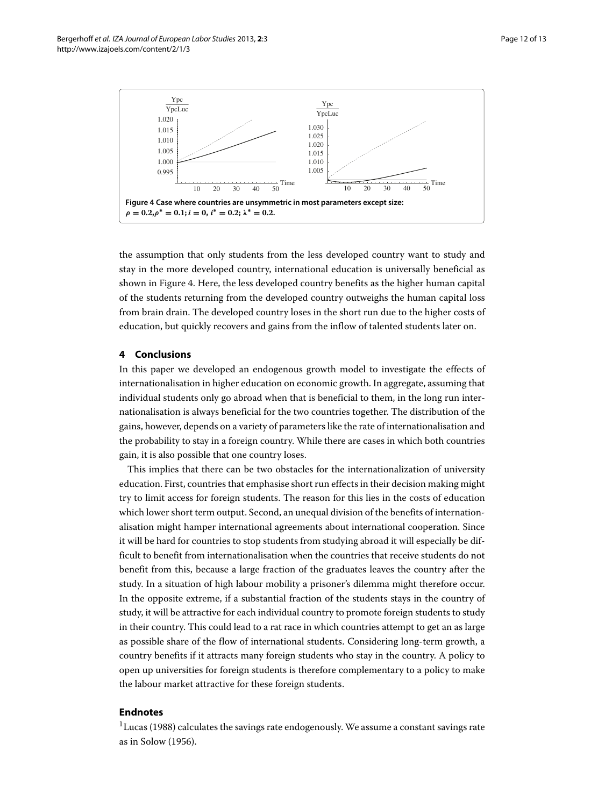

<span id="page-11-1"></span>the assumption that only students from the less developed country want to study and stay in the more developed country, international education is universally beneficial as shown in Figure [4.](#page-11-1) Here, the less developed country benefits as the higher human capital of the students returning from the developed country outweighs the human capital loss from brain drain. The developed country loses in the short run due to the higher costs of education, but quickly recovers and gains from the inflow of talented students later on.

## <span id="page-11-0"></span>**4 Conclusions**

In this paper we developed an endogenous growth model to investigate the effects of internationalisation in higher education on economic growth. In aggregate, assuming that individual students only go abroad when that is beneficial to them, in the long run internationalisation is always beneficial for the two countries together. The distribution of the gains, however, depends on a variety of parameters like the rate of internationalisation and the probability to stay in a foreign country. While there are cases in which both countries gain, it is also possible that one country loses.

This implies that there can be two obstacles for the internationalization of university education. First, countries that emphasise short run effects in their decision making might try to limit access for foreign students. The reason for this lies in the costs of education which lower short term output. Second, an unequal division of the benefits of internationalisation might hamper international agreements about international cooperation. Since it will be hard for countries to stop students from studying abroad it will especially be difficult to benefit from internationalisation when the countries that receive students do not benefit from this, because a large fraction of the graduates leaves the country after the study. In a situation of high labour mobility a prisoner's dilemma might therefore occur. In the opposite extreme, if a substantial fraction of the students stays in the country of study, it will be attractive for each individual country to promote foreign students to study in their country. This could lead to a rat race in which countries attempt to get an as large as possible share of the flow of international students. Considering long-term growth, a country benefits if it attracts many foreign students who stay in the country. A policy to open up universities for foreign students is therefore complementary to a policy to make the labour market attractive for these foreign students.

## **Endnotes**

 $1$ Lucas [\(1988\)](#page-12-0) calculates the savings rate endogenously. We assume a constant savings rate as in Solow [\(1956\)](#page-12-10).